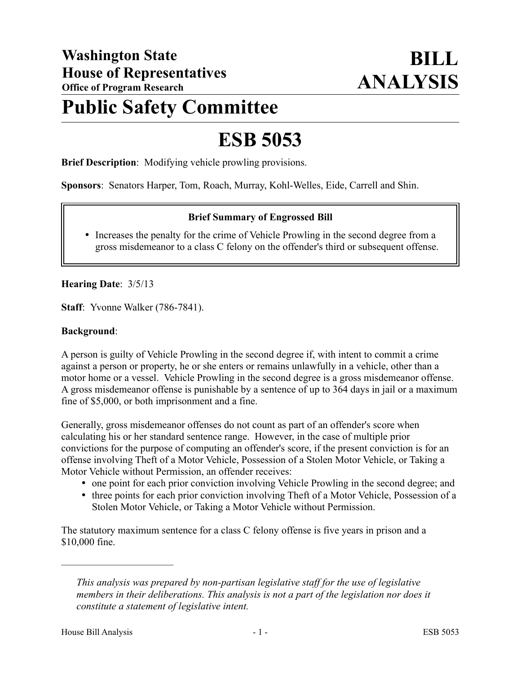# **Public Safety Committee**

# **ESB 5053**

**Brief Description**: Modifying vehicle prowling provisions.

**Sponsors**: Senators Harper, Tom, Roach, Murray, Kohl-Welles, Eide, Carrell and Shin.

## **Brief Summary of Engrossed Bill**

 Increases the penalty for the crime of Vehicle Prowling in the second degree from a gross misdemeanor to a class C felony on the offender's third or subsequent offense.

**Hearing Date**: 3/5/13

**Staff**: Yvonne Walker (786-7841).

#### **Background**:

A person is guilty of Vehicle Prowling in the second degree if, with intent to commit a crime against a person or property, he or she enters or remains unlawfully in a vehicle, other than a motor home or a vessel. Vehicle Prowling in the second degree is a gross misdemeanor offense. A gross misdemeanor offense is punishable by a sentence of up to 364 days in jail or a maximum fine of \$5,000, or both imprisonment and a fine.

Generally, gross misdemeanor offenses do not count as part of an offender's score when calculating his or her standard sentence range. However, in the case of multiple prior convictions for the purpose of computing an offender's score, if the present conviction is for an offense involving Theft of a Motor Vehicle, Possession of a Stolen Motor Vehicle, or Taking a Motor Vehicle without Permission, an offender receives:

- one point for each prior conviction involving Vehicle Prowling in the second degree; and
- three points for each prior conviction involving Theft of a Motor Vehicle, Possession of a Stolen Motor Vehicle, or Taking a Motor Vehicle without Permission.

The statutory maximum sentence for a class C felony offense is five years in prison and a \$10,000 fine.

––––––––––––––––––––––

*This analysis was prepared by non-partisan legislative staff for the use of legislative members in their deliberations. This analysis is not a part of the legislation nor does it constitute a statement of legislative intent.*